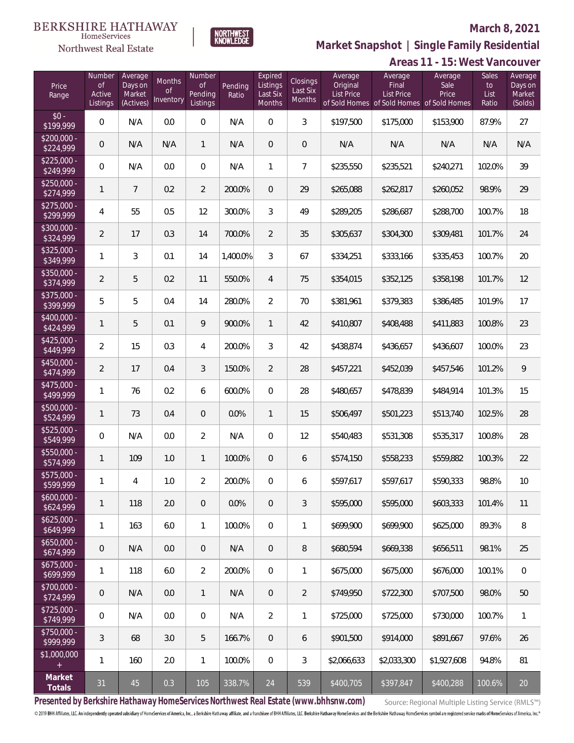

**NORTHWEST**<br>KNOWLEDGE

Northwest Real Estate

**Market Snapshot | Single Family Residential**

|                           | Areas 11 - 15: West Vancouver             |                                           |                           |                                            |                  |                                                  |                                |                                          |                                                               |                                           |                              |                                         |
|---------------------------|-------------------------------------------|-------------------------------------------|---------------------------|--------------------------------------------|------------------|--------------------------------------------------|--------------------------------|------------------------------------------|---------------------------------------------------------------|-------------------------------------------|------------------------------|-----------------------------------------|
| Price<br>Range            | Number<br><b>of</b><br>Active<br>Listings | Average<br>Days on<br>Market<br>(Actives) | Months<br>Οf<br>Inventory | Number<br><b>of</b><br>Pending<br>Listings | Pending<br>Ratio | Expired<br>Listings<br>Last Six<br><b>Months</b> | Closings<br>Last Six<br>Months | Average<br>Original<br><b>List Price</b> | Average<br>Final<br>List Price<br>of Sold Homes of Sold Homes | Average<br>Sale<br>Price<br>of Sold Homes | Sales<br>to<br>List<br>Ratio | Average<br>Days on<br>Market<br>(Solds) |
| $$0 -$<br>\$199,999       | 0                                         | N/A                                       | 0.0                       | 0                                          | N/A              | $\mathbf 0$                                      | $\mathfrak{Z}$                 | \$197,500                                | \$175,000                                                     | \$153,900                                 | 87.9%                        | 27                                      |
| $$200,000 -$<br>\$224,999 | $\mathbf 0$                               | N/A                                       | N/A                       | 1                                          | N/A              | $\theta$                                         | $\mathbf 0$                    | N/A                                      | N/A                                                           | N/A                                       | N/A                          | N/A                                     |
| $$225,000 -$<br>\$249,999 | 0                                         | N/A                                       | 0.0                       | 0                                          | N/A              | $\mathbf{1}$                                     | $\overline{7}$                 | \$235,550                                | \$235,521                                                     | \$240,271                                 | 102.0%                       | 39                                      |
| $$250,000 -$<br>\$274,999 | $\mathbf{1}$                              | $\overline{7}$                            | 0.2                       | $\overline{2}$                             | 200.0%           | $\theta$                                         | 29                             | \$265,088                                | \$262,817                                                     | \$260,052                                 | 98.9%                        | 29                                      |
| $$275,000 -$<br>\$299,999 | 4                                         | 55                                        | 0.5                       | 12                                         | 300.0%           | 3                                                | 49                             | \$289,205                                | \$286,687                                                     | \$288,700                                 | 100.7%                       | 18                                      |
| \$300,000 -<br>\$324,999  | $\overline{2}$                            | 17                                        | 0.3                       | 14                                         | 700.0%           | $\overline{2}$                                   | 35                             | \$305,637                                | \$304,300                                                     | \$309,481                                 | 101.7%                       | 24                                      |
| \$325,000 -<br>\$349,999  | $\mathbf{1}$                              | 3                                         | 0.1                       | 14                                         | 1,400.0%         | 3                                                | 67                             | \$334,251                                | \$333,166                                                     | \$335,453                                 | 100.7%                       | 20                                      |
| \$350,000 -<br>\$374,999  | $\overline{2}$                            | 5                                         | 0.2                       | 11                                         | 550.0%           | 4                                                | 75                             | \$354,015                                | \$352,125                                                     | \$358,198                                 | 101.7%                       | 12                                      |
| \$375,000 -<br>\$399,999  | 5                                         | 5                                         | 0.4                       | 14                                         | 280.0%           | $\overline{2}$                                   | 70                             | \$381,961                                | \$379,383                                                     | \$386,485                                 | 101.9%                       | 17                                      |
| \$400,000 -<br>\$424,999  | $\mathbf{1}$                              | 5                                         | 0.1                       | 9                                          | 900.0%           | $\mathbf{1}$                                     | 42                             | \$410,807                                | \$408,488                                                     | \$411,883                                 | 100.8%                       | 23                                      |
| $$425,000 -$<br>\$449,999 | $\overline{2}$                            | 15                                        | 0.3                       | 4                                          | 200.0%           | $\mathfrak{Z}$                                   | 42                             | \$438,874                                | \$436,657                                                     | \$436,607                                 | 100.0%                       | 23                                      |
| \$450,000 -<br>\$474,999  | $\overline{2}$                            | 17                                        | 0.4                       | 3                                          | 150.0%           | $\overline{2}$                                   | 28                             | \$457,221                                | \$452,039                                                     | \$457,546                                 | 101.2%                       | 9                                       |
| \$475,000 -<br>\$499,999  | $\mathbf{1}$                              | 76                                        | 0.2                       | 6                                          | 600.0%           | $\mathbf 0$                                      | 28                             | \$480,657                                | \$478,839                                                     | \$484,914                                 | 101.3%                       | 15                                      |
| $$500,000 -$<br>\$524,999 | $\mathbf{1}$                              | 73                                        | 0.4                       | 0                                          | 0.0%             | $\mathbf{1}$                                     | 15                             | \$506,497                                | \$501,223                                                     | \$513,740                                 | 102.5%                       | 28                                      |
| \$525,000 -<br>\$549,999  | 0                                         | N/A                                       | 0.0                       | $\overline{2}$                             | N/A              | $\mathbf 0$                                      | 12                             | \$540,483                                | \$531,308                                                     | \$535,317                                 | 100.8%                       | 28                                      |
| \$550,000 -<br>\$574,999  | 1                                         | 109                                       | 1.0                       | $\mathbf{1}$                               | 100.0%           | $\mathbf 0$                                      | 6                              | \$574,150                                | \$558,233                                                     | \$559,882                                 | 100.3%                       | 22                                      |
| \$575,000 -<br>\$599,999  | 1                                         | 4                                         | 1.0                       | $\overline{2}$                             | 200.0%           | $\mathbf 0$                                      | 6                              | \$597,617                                | \$597.617                                                     | \$590,333                                 | 98.8%                        | 10                                      |
| \$600,000 -<br>\$624,999  | $\mathbf{1}$                              | 118                                       | 2.0                       | 0                                          | 0.0%             | $\overline{0}$                                   | $\mathfrak{Z}$                 | \$595,000                                | \$595,000                                                     | \$603,333                                 | 101.4%                       | 11                                      |
| $$625,000 -$<br>\$649,999 | $\mathbf{1}$                              | 163                                       | 6.0                       | $\mathbf{1}$                               | 100.0%           | 0                                                | $\mathbf{1}$                   | \$699,900                                | \$699,900                                                     | \$625,000                                 | 89.3%                        | 8                                       |
| $$650,000 -$<br>\$674,999 | $\overline{0}$                            | N/A                                       | 0.0                       | 0                                          | N/A              | $\overline{0}$                                   | 8                              | \$680,594                                | \$669,338                                                     | \$656.511                                 | 98.1%                        | 25                                      |
| $$675,000 -$<br>\$699,999 | $\mathbf{1}$                              | 118                                       | 6.0                       | $\overline{2}$                             | 200.0%           | 0                                                | $\mathbf{1}$                   | \$675,000                                | \$675,000                                                     | \$676,000                                 | 100.1%                       | 0                                       |
| \$700,000 -<br>\$724,999  | $\overline{0}$                            | N/A                                       | 0.0                       | $\mathbf{1}$                               | N/A              | $\overline{0}$                                   | $\overline{2}$                 | \$749.950                                | \$722,300                                                     | \$707,500                                 | 98.0%                        | 50                                      |
| $$725,000 -$<br>\$749,999 | 0                                         | N/A                                       | 0.0                       | 0                                          | N/A              | $\overline{2}$                                   | 1                              | \$725,000                                | \$725,000                                                     | \$730,000                                 | 100.7%                       | $\mathbf{1}$                            |
| \$750,000 -<br>\$999,999  | 3                                         | 68                                        | 3.0                       | 5                                          | 166.7%           | $\theta$                                         | 6                              | \$901,500                                | \$914,000                                                     | \$891,667                                 | 97.6%                        | 26                                      |
| \$1,000,000               | 1                                         | 160                                       | 2.0                       | $\mathbf{1}$                               | 100.0%           | 0                                                | 3                              | \$2,066,633                              | \$2,033,300                                                   | \$1,927,608                               | 94.8%                        | 81                                      |
| Market<br>Totals          | 31                                        | 45                                        | 0.3                       | 105                                        | 338.7%           | 24                                               | 539                            | \$400,705                                | \$397,847                                                     | \$400,288                                 | 100.6%                       | $20\,$                                  |

**Presented by Berkshire Hathaway HomeServices Northwest Real Estate (www.bhhsnw.com)**

Source: Regional Multiple Listing Service (RMLS™)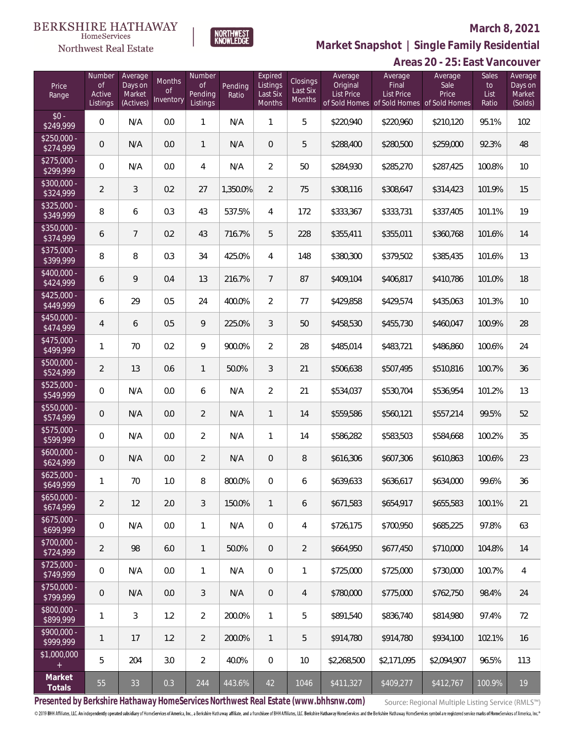

NORTHWEST<br>KNOWLEDGE

Northwest Real Estate

**Market Snapshot | Single Family Residential**

## **Areas 20 - 25: East Vancouver**

| Price<br>Range            | Number<br><b>of</b><br>Active<br>Listings | Average<br>Days on<br>Market<br>(Actives) | Months<br>Οf<br>Inventory | Number<br><b>of</b><br>Pending<br>Listings | Pending<br>Ratio | Expired<br>Listings<br>Last Six<br>Months | <b>Closings</b><br>Last Six<br>Months | Average<br>Original<br><b>List Price</b> | Average<br>Final<br>List Price<br>of Sold Homes of Sold Homes of Sold Homes | Average<br>Sale<br>Price | Sales<br>to<br>List<br>Ratio | Average<br>Days on<br>Market<br>(Solds) |
|---------------------------|-------------------------------------------|-------------------------------------------|---------------------------|--------------------------------------------|------------------|-------------------------------------------|---------------------------------------|------------------------------------------|-----------------------------------------------------------------------------|--------------------------|------------------------------|-----------------------------------------|
| $$0 -$<br>\$249,999       | 0                                         | N/A                                       | 0.0                       | $\mathbf{1}$                               | N/A              | 1                                         | 5                                     | \$220,940                                | \$220,960                                                                   | \$210,120                | 95.1%                        | 102                                     |
| $$250,000 -$<br>\$274,999 | 0                                         | N/A                                       | 0.0                       | $\mathbf{1}$                               | N/A              | $\overline{0}$                            | 5                                     | \$288,400                                | \$280,500                                                                   | \$259,000                | 92.3%                        | 48                                      |
| $$275,000 -$<br>\$299,999 | 0                                         | N/A                                       | 0.0                       | 4                                          | N/A              | $\overline{2}$                            | 50                                    | \$284,930                                | \$285,270                                                                   | \$287,425                | 100.8%                       | 10                                      |
| \$300,000 -<br>\$324,999  | $\overline{2}$                            | 3                                         | 0.2                       | 27                                         | 1,350.0%         | $\overline{2}$                            | 75                                    | \$308,116                                | \$308,647                                                                   | \$314,423                | 101.9%                       | 15                                      |
| $$325,000 -$<br>\$349,999 | 8                                         | 6                                         | 0.3                       | 43                                         | 537.5%           | $\overline{4}$                            | 172                                   | \$333,367                                | \$333,731                                                                   | \$337,405                | 101.1%                       | 19                                      |
| \$350,000 -<br>\$374,999  | 6                                         | $\overline{7}$                            | 0.2                       | 43                                         | 716.7%           | 5                                         | 228                                   | \$355,411                                | \$355,011                                                                   | \$360,768                | 101.6%                       | 14                                      |
| \$375,000 -<br>\$399,999  | 8                                         | 8                                         | 0.3                       | 34                                         | 425.0%           | 4                                         | 148                                   | \$380,300                                | \$379,502                                                                   | \$385,435                | 101.6%                       | 13                                      |
| $$400,000 -$<br>\$424,999 | 6                                         | 9                                         | 0.4                       | 13                                         | 216.7%           | $\overline{7}$                            | 87                                    | \$409,104                                | \$406,817                                                                   | \$410,786                | 101.0%                       | 18                                      |
| $$425,000 -$<br>\$449,999 | 6                                         | 29                                        | 0.5                       | 24                                         | 400.0%           | $\overline{2}$                            | 77                                    | \$429,858                                | \$429,574                                                                   | \$435,063                | 101.3%                       | 10                                      |
| $$450,000 -$<br>\$474,999 | $\overline{4}$                            | 6                                         | 0.5                       | 9                                          | 225.0%           | 3                                         | 50                                    | \$458,530                                | \$455,730                                                                   | \$460,047                | 100.9%                       | 28                                      |
| $$475,000 -$<br>\$499,999 | 1                                         | 70                                        | 0.2                       | 9                                          | 900.0%           | $\overline{2}$                            | 28                                    | \$485,014                                | \$483,721                                                                   | \$486,860                | 100.6%                       | 24                                      |
| $$500,000 -$<br>\$524,999 | $\overline{2}$                            | 13                                        | 0.6                       | $\mathbf{1}$                               | 50.0%            | 3                                         | 21                                    | \$506,638                                | \$507,495                                                                   | \$510,816                | 100.7%                       | 36                                      |
| \$525,000 -<br>\$549,999  | $\overline{0}$                            | N/A                                       | 0.0                       | 6                                          | N/A              | $\overline{2}$                            | 21                                    | \$534,037                                | \$530,704                                                                   | \$536,954                | 101.2%                       | 13                                      |
| $$550,000 -$<br>\$574,999 | $\mathbf 0$                               | N/A                                       | 0.0                       | $\overline{2}$                             | N/A              | $\mathbf{1}$                              | 14                                    | \$559,586                                | \$560,121                                                                   | \$557,214                | 99.5%                        | 52                                      |
| $$575,000 -$<br>\$599,999 | 0                                         | N/A                                       | 0.0                       | $\overline{2}$                             | N/A              | $\mathbf{1}$                              | 14                                    | \$586,282                                | \$583,503                                                                   | \$584,668                | 100.2%                       | 35                                      |
| $$600,000 -$<br>\$624,999 | $\mathbf 0$                               | N/A                                       | 0.0                       | $\overline{2}$                             | N/A              | $\overline{0}$                            | 8                                     | \$616,306                                | \$607,306                                                                   | \$610,863                | 100.6%                       | 23                                      |
| $$625,000 -$<br>\$649,999 | 1                                         | 70                                        | $1.0\,$                   | 8                                          | 800.0%           | 0                                         | 6                                     | \$639,633                                | \$636,617                                                                   | \$634,000                | 99.6%                        | 36                                      |
| $$650,000 -$<br>\$674,999 | 2                                         | 12                                        | 2.0                       | 3                                          | 150.0%           | $\mathbf{1}$                              | 6                                     | \$671,583                                | \$654.917                                                                   | \$655,583                | 100.1%                       | 21                                      |
| $$675,000 -$<br>\$699,999 | $\boldsymbol{0}$                          | N/A                                       | 0.0                       | $\mathbf{1}$                               | N/A              | $\overline{0}$                            | 4                                     | \$726,175                                | \$700,950                                                                   | \$685,225                | 97.8%                        | 63                                      |
| $$700,000 -$<br>\$724,999 | $\overline{2}$                            | 98                                        | 6.0                       | $\mathbf{1}$                               | 50.0%            | $\overline{0}$                            | $\overline{2}$                        | \$664,950                                | \$677,450                                                                   | \$710,000                | 104.8%                       | 14                                      |
| $$725,000 -$<br>\$749,999 | 0                                         | N/A                                       | 0.0                       | $\mathbf{1}$                               | N/A              | $\mathbf 0$                               | $\mathbf{1}$                          | \$725,000                                | \$725,000                                                                   | \$730,000                | 100.7%                       | 4                                       |
| \$750,000 -<br>\$799,999  | $\mathbf 0$                               | N/A                                       | 0.0                       | 3                                          | N/A              | $\mathbf 0$                               | 4                                     | \$780,000                                | \$775,000                                                                   | \$762,750                | 98.4%                        | 24                                      |
| \$800,000 -<br>\$899,999  | 1                                         | 3                                         | 1.2                       | $\overline{2}$                             | 200.0%           | $\mathbf{1}$                              | 5                                     | \$891,540                                | \$836,740                                                                   | \$814,980                | 97.4%                        | 72                                      |
| $$900,000 -$<br>\$999,999 | $\mathbf{1}$                              | 17                                        | 1.2                       | $\overline{2}$                             | 200.0%           | $\mathbf{1}$                              | 5                                     | \$914,780                                | \$914,780                                                                   | \$934,100                | 102.1%                       | 16                                      |
| \$1,000,000<br>$+$        | 5                                         | 204                                       | 3.0                       | $\overline{2}$                             | 40.0%            | $\mathbf{0}$                              | 10                                    | \$2,268,500                              | \$2,171,095                                                                 | \$2,094,907              | 96.5%                        | 113                                     |
| Market<br>Totals          | 55                                        | 33                                        | 0.3                       | 244                                        | 443.6%           | 42                                        | 1046                                  | \$411,327                                | \$409,277                                                                   | \$412,767                | 100.9%                       | 19                                      |

**Presented by Berkshire Hathaway HomeServices Northwest Real Estate (www.bhhsnw.com)**

Source: Regional Multiple Listing Service (RMLS™)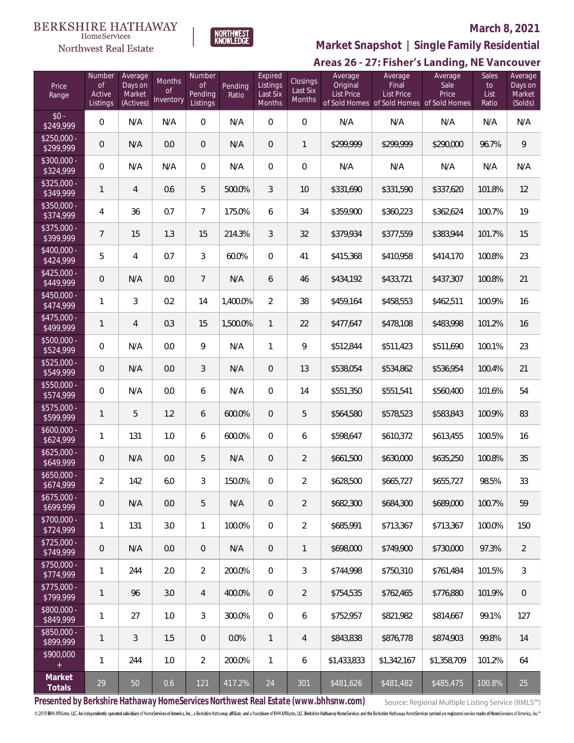

## **March 8, 2021**

**Market Snapshot | Single Family Residential**

## Areas 26 - 27: Fisher's Landing, NE Vancouver

| Price<br>Range            | Number<br>$\mathsf{of}$<br>Active<br>Listings | Average<br>Days on<br>Market<br>(Actives) | Months<br><sub>of</sub><br>Inventory | Number<br><b>of</b><br>Pending<br>Listings | Pending<br>Ratio | Expired<br>Listings<br>Last Six<br><b>Months</b> | Closings<br>Last Six<br>Months | Average<br>Original<br><b>List Price</b> | Average<br>Final<br>List Price<br>of Sold Homes of Sold Homes of Sold Homes | Average<br>Sale<br>Price | Sales<br>to<br>List<br>Ratio | Average<br>Days on<br>Market<br>(Solds) |
|---------------------------|-----------------------------------------------|-------------------------------------------|--------------------------------------|--------------------------------------------|------------------|--------------------------------------------------|--------------------------------|------------------------------------------|-----------------------------------------------------------------------------|--------------------------|------------------------------|-----------------------------------------|
| $$0 -$<br>\$249,999       | $\mathbf 0$                                   | N/A                                       | N/A                                  | $\mathbf{0}$                               | N/A              | $\overline{0}$                                   | 0                              | N/A                                      | N/A                                                                         | N/A                      | N/A                          | N/A                                     |
| $$250,000 -$<br>\$299,999 | $\overline{0}$                                | N/A                                       | 0.0                                  | $\theta$                                   | N/A              | 0                                                | 1                              | \$299,999                                | \$299,999                                                                   | \$290,000                | 96.7%                        | $\,9$                                   |
| $$300.000 -$<br>\$324,999 | $\mathbf 0$                                   | N/A                                       | N/A                                  | $\mathbf{0}$                               | N/A              | 0                                                | 0                              | N/A                                      | N/A                                                                         | N/A                      | N/A                          | N/A                                     |
| $$325.000 -$<br>\$349,999 | 1                                             | $\overline{4}$                            | 0.6                                  | 5                                          | 500.0%           | 3                                                | 10                             | \$331,690                                | \$331,590                                                                   | \$337,620                | 101.8%                       | 12                                      |
| \$350,000 -<br>\$374,999  | 4                                             | 36                                        | 0.7                                  | $\overline{7}$                             | 175.0%           | 6                                                | 34                             | \$359,900                                | \$360,223                                                                   | \$362,624                | 100.7%                       | 19                                      |
| $$375,000 -$<br>\$399,999 | $\overline{7}$                                | 15                                        | 1.3                                  | 15                                         | 214.3%           | 3                                                | 32                             | \$379,934                                | \$377,559                                                                   | \$383,944                | 101.7%                       | 15                                      |
| $$400,000 -$<br>\$424,999 | 5                                             | $\overline{4}$                            | 0.7                                  | 3                                          | 60.0%            | $\overline{0}$                                   | 41                             | \$415,368                                | \$410,958                                                                   | \$414,170                | 100.8%                       | 23                                      |
| $$425,000 -$<br>\$449,999 | $\overline{0}$                                | N/A                                       | 0.0                                  | $7\overline{ }$                            | N/A              | 6                                                | 46                             | \$434,192                                | \$433,721                                                                   | \$437,307                | 100.8%                       | 21                                      |
| $$450,000 -$<br>\$474,999 | 1                                             | 3                                         | 0.2                                  | 14                                         | 1,400.0%         | $\overline{2}$                                   | 38                             | \$459,164                                | \$458,553                                                                   | \$462,511                | 100.9%                       | 16                                      |
| $$475,000 -$<br>\$499,999 | 1                                             | $\overline{4}$                            | 0.3                                  | 15                                         | 1,500.0%         | $\mathbf{1}$                                     | 22                             | \$477,647                                | \$478,108                                                                   | \$483,998                | 101.2%                       | 16                                      |
| \$500,000 -<br>\$524,999  | $\mathbf 0$                                   | N/A                                       | 0.0                                  | 9                                          | N/A              | 1                                                | 9                              | \$512,844                                | \$511,423                                                                   | \$511,690                | 100.1%                       | 23                                      |
| \$525,000 -<br>\$549,999  | $\overline{0}$                                | N/A                                       | 0.0                                  | 3                                          | N/A              | 0                                                | 13                             | \$538,054                                | \$534,862                                                                   | \$536,954                | 100.4%                       | 21                                      |
| \$550,000 -<br>\$574,999  | $\mathbf 0$                                   | N/A                                       | 0.0                                  | 6                                          | N/A              | 0                                                | 14                             | \$551,350                                | \$551,541                                                                   | \$560,400                | 101.6%                       | 54                                      |
| $$575,000 -$<br>\$599,999 | $\mathbf{1}$                                  | 5                                         | 1.2                                  | 6                                          | 600.0%           | $\overline{0}$                                   | 5                              | \$564,580                                | \$578,523                                                                   | \$583,843                | 100.9%                       | 83                                      |
| $$600,000 -$<br>\$624,999 | $\mathbf{1}$                                  | 131                                       | 1.0                                  | 6                                          | 600.0%           | $\overline{0}$                                   | 6                              | \$598,647                                | \$610,372                                                                   | \$613,455                | 100.5%                       | 16                                      |
| $$625,000 -$<br>\$649,999 | $\overline{0}$                                | N/A                                       | 0.0                                  | 5                                          | N/A              | 0                                                | $\overline{2}$                 | \$661,500                                | \$630,000                                                                   | \$635,250                | 100.8%                       | 35                                      |
| $$650,000 -$<br>\$674,999 | $\overline{2}$                                | 142                                       | 6.0                                  | 3                                          | 150.0%           | 0                                                | $\overline{2}$                 | \$628,500                                | \$665,727                                                                   | \$655,727                | 98.5%                        | 33                                      |
| $$675,000 -$<br>\$699,999 | $\theta$                                      | N/A                                       | 0.0                                  | 5                                          | N/A              | 0                                                | 2                              | \$682,300                                | \$684.300                                                                   | \$689,000                | 100.7%                       | 59                                      |
| $$700,000 -$<br>\$724,999 | 1                                             | 131                                       | 3.0                                  | $\mathbf{1}$                               | 100.0%           | 0                                                | $\overline{2}$                 | \$685,991                                | \$713,367                                                                   | \$713,367                | 100.0%                       | 150                                     |
| $$725,000 -$<br>\$749,999 | $\theta$                                      | N/A                                       | 0.0                                  | $\overline{0}$                             | N/A              | 0                                                | 1                              | \$698,000                                | \$749,900                                                                   | \$730,000                | 97.3%                        | $\overline{2}$                          |
| $$750,000 -$<br>\$774,999 | 1                                             | 244                                       | 2.0                                  | $\overline{2}$                             | 200.0%           | $\overline{0}$                                   | 3                              | \$744,998                                | \$750,310                                                                   | \$761,484                | 101.5%                       | $\mathfrak{Z}$                          |
| $$775,000 -$<br>\$799,999 | 1                                             | 96                                        | 3.0                                  | 4                                          | 400.0%           | $\overline{0}$                                   | 2                              | \$754,535                                | \$762,465                                                                   | \$776,880                | 101.9%                       | $\mathbf{0}$                            |
| \$800,000 -<br>\$849,999  | $\mathbf{1}$                                  | 27                                        | 1.0                                  | 3                                          | 300.0%           | 0                                                | 6                              | \$752,957                                | \$821,982                                                                   | \$814,667                | 99.1%                        | 127                                     |
| \$850,000 -<br>\$899,999  | $\mathbf{1}$                                  | 3                                         | 1.5                                  | $\overline{0}$                             | 0.0%             | $\mathbf{1}$                                     | 4                              | \$843,838                                | \$876,778                                                                   | \$874,903                | 99.8%                        | 14                                      |
| \$900,000                 | $\mathbf{1}$                                  | 244                                       | 1.0                                  | $\overline{2}$                             | 200.0%           | 1                                                | 6                              | \$1,433,833                              | \$1,342,167                                                                 | \$1,358,709              | 101.2%                       | 64                                      |
| Market<br>Totals          | 29                                            | 50                                        | 0.6                                  | 121                                        | 417.2%           | 24                                               | 301                            | $\sqrt{$481,626}$                        | \$481,482                                                                   | \$485,475                | 100.8%                       | 25                                      |

**Presented by Berkshire Hathaway HomeServices Northwest Real Estate (www.bhhsnw.com)**

Source: Regional Multiple Listing Service (RMLS™)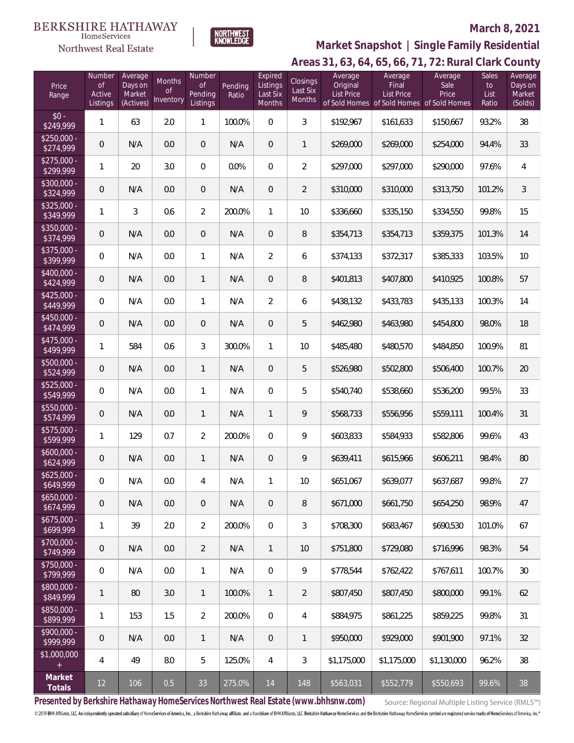Northwest Real Estate



## **March 8, 2021**

## **Areas 31, 63, 64, 65, 66, 71, 72: Rural Clark County Market Snapshot | Single Family Residential**

| Price<br>Range            | Number<br>0f<br>Active<br>Listings | Average<br>Days on<br>Market<br>(Actives) | Months<br>0f<br>Inventory | Number<br><b>of</b><br>Pending<br>Listings | Pending<br>Ratio | Expired<br>Listings<br>Last Six<br>Months | Closings<br>Last Six<br><b>Months</b> | Average<br>Original<br><b>List Price</b> | Average<br>Final<br><b>List Price</b><br>of Sold Homes of Sold Homes of Sold Homes | Average<br>Sale<br>Price | Sales<br>to<br>List<br>Ratio | Average<br>Days on<br>Market<br>(Solds) |
|---------------------------|------------------------------------|-------------------------------------------|---------------------------|--------------------------------------------|------------------|-------------------------------------------|---------------------------------------|------------------------------------------|------------------------------------------------------------------------------------|--------------------------|------------------------------|-----------------------------------------|
| $$0 -$<br>\$249,999       | $\mathbf{1}$                       | 63                                        | 2.0                       | 1                                          | 100.0%           | $\overline{0}$                            | 3                                     | \$192,967                                | \$161,633                                                                          | \$150,667                | 93.2%                        | 38                                      |
| $$250,000 -$<br>\$274,999 | 0                                  | N/A                                       | 0.0                       | 0                                          | N/A              | $\overline{0}$                            | 1                                     | \$269,000                                | \$269,000                                                                          | \$254,000                | 94.4%                        | 33                                      |
| $$275,000 -$<br>\$299,999 | 1                                  | 20                                        | 3.0                       | $\overline{0}$                             | 0.0%             | $\overline{0}$                            | $\overline{2}$                        | \$297,000                                | \$297,000                                                                          | \$290,000                | 97.6%                        | 4                                       |
| $$300,000 -$<br>\$324,999 | $\mathbf 0$                        | N/A                                       | 0.0                       | 0                                          | N/A              | $\mathbf 0$                               | $\overline{2}$                        | \$310,000                                | \$310,000                                                                          | \$313,750                | 101.2%                       | $\sqrt{3}$                              |
| $$325,000 -$<br>\$349,999 | 1                                  | 3                                         | 0.6                       | $\overline{2}$                             | 200.0%           | 1                                         | 10                                    | \$336,660                                | \$335,150                                                                          | \$334,550                | 99.8%                        | 15                                      |
| $$350,000 -$<br>\$374,999 | $\mathsf{O}\xspace$                | N/A                                       | 0.0                       | 0                                          | N/A              | $\overline{0}$                            | 8                                     | \$354,713                                | \$354,713                                                                          | \$359,375                | 101.3%                       | 14                                      |
| $$375,000 -$<br>\$399,999 | 0                                  | N/A                                       | 0.0                       | 1                                          | N/A              | $\overline{2}$                            | 6                                     | \$374,133                                | \$372,317                                                                          | \$385,333                | 103.5%                       | 10                                      |
| $$400,000 -$<br>\$424,999 | $\mathbf 0$                        | N/A                                       | 0.0                       | 1                                          | N/A              | 0                                         | 8                                     | \$401,813                                | \$407,800                                                                          | \$410,925                | 100.8%                       | 57                                      |
| $$425,000 -$<br>\$449,999 | 0                                  | N/A                                       | 0.0                       | $\mathbf{1}$                               | N/A              | $\overline{2}$                            | 6                                     | \$438,132                                | \$433,783                                                                          | \$435,133                | 100.3%                       | 14                                      |
| $$450,000 -$<br>\$474,999 | $\mathbf 0$                        | N/A                                       | 0.0                       | 0                                          | N/A              | 0                                         | 5                                     | \$462,980                                | \$463,980                                                                          | \$454,800                | 98.0%                        | 18                                      |
| $$475,000 -$<br>\$499,999 | 1                                  | 584                                       | 0.6                       | 3                                          | 300.0%           | 1                                         | 10                                    | \$485,480                                | \$480,570                                                                          | \$484,850                | 100.9%                       | 81                                      |
| $$500,000 -$<br>\$524,999 | $\mathbf 0$                        | N/A                                       | 0.0                       | 1                                          | N/A              | $\overline{0}$                            | 5                                     | \$526,980                                | \$502,800                                                                          | \$506,400                | 100.7%                       | $20\,$                                  |
| $$525,000 -$<br>\$549,999 | 0                                  | N/A                                       | 0.0                       | $\mathbf{1}$                               | N/A              | $\boldsymbol{0}$                          | 5                                     | \$540,740                                | \$538,660                                                                          | \$536,200                | 99.5%                        | 33                                      |
| $$550,000 -$<br>\$574,999 | $\mathbf 0$                        | N/A                                       | 0.0                       | 1                                          | N/A              | $\mathbf{1}$                              | 9                                     | \$568,733                                | \$556,956                                                                          | \$559,111                | 100.4%                       | 31                                      |
| $$575,000 -$<br>\$599,999 | 1                                  | 129                                       | 0.7                       | $\overline{2}$                             | 200.0%           | $\mathbf{0}$                              | 9                                     | \$603,833                                | \$584,933                                                                          | \$582,806                | 99.6%                        | 43                                      |
| $$600,000 -$<br>\$624,999 | $\mathbf 0$                        | N/A                                       | 0.0                       | 1                                          | N/A              | $\overline{0}$                            | 9                                     | \$639,411                                | \$615,966                                                                          | \$606,211                | 98.4%                        | 80                                      |
| $$625,000 -$<br>\$649,999 | 0                                  | N/A                                       | 0.0                       | 4                                          | N/A              | 1                                         | 10                                    | \$651,067                                | \$639,077                                                                          | \$637,687                | 99.8%                        | 27                                      |
| $$650,000 -$<br>\$674,999 | $\mathbf 0$                        | N/A                                       | 0.0                       | $\overline{0}$                             | N/A              | $\overline{0}$                            | 8                                     | \$671,000                                | \$661,750                                                                          | \$654,250                | 98.9%                        | 47                                      |
| $$675,000 -$<br>\$699,999 | 1                                  | 39                                        | 2.0                       | $\overline{2}$                             | 200.0%           | $\mathbf{0}$                              | 3                                     | \$708,300                                | \$683,467                                                                          | \$690,530                | 101.0%                       | 67                                      |
| $$700,000 -$<br>\$749,999 | $\mathbf 0$                        | N/A                                       | 0.0                       | $\overline{2}$                             | N/A              | $\mathbf{1}$                              | 10                                    | \$751,800                                | \$729,080                                                                          | \$716,996                | 98.3%                        | 54                                      |
| \$750,000 -<br>\$799,999  | $\overline{0}$                     | N/A                                       | 0.0                       | $\mathbf{1}$                               | N/A              | $\mathbf{0}$                              | 9                                     | \$778,544                                | \$762,422                                                                          | \$767,611                | 100.7%                       | 30                                      |
| \$800,000 -<br>\$849,999  | 1                                  | 80                                        | 3.0                       | $\mathbf{1}$                               | 100.0%           | $\mathbf{1}$                              | $\overline{2}$                        | \$807.450                                | \$807,450                                                                          | \$800,000                | 99.1%                        | 62                                      |
| \$850,000 -<br>\$899,999  | 1                                  | 153                                       | 1.5                       | $\overline{2}$                             | 200.0%           | $\overline{0}$                            | 4                                     | \$884,975                                | \$861,225                                                                          | \$859,225                | 99.8%                        | 31                                      |
| $$900.000 -$<br>\$999,999 | $\mathbf 0$                        | N/A                                       | 0.0                       | $\mathbf{1}$                               | N/A              | $\overline{0}$                            | 1                                     | \$950,000                                | \$929,000                                                                          | \$901,900                | 97.1%                        | 32                                      |
| \$1,000,000<br>$^{+}$     | 4                                  | 49                                        | 8.0                       | 5                                          | 125.0%           | 4                                         | 3                                     | \$1,175,000                              | \$1,175,000                                                                        | \$1,130,000              | 96.2%                        | 38                                      |
| Market<br>Totals          | 12                                 | 106                                       | 0.5                       | 33                                         | 275.0%           | 14                                        | 148                                   | \$563,031                                | \$552,779                                                                          | \$550,693                | 99.6%                        | 38                                      |

**Presented by Berkshire Hathaway HomeServices Northwest Real Estate (www.bhhsnw.com)**

Source: Regional Multiple Listing Service (RMLS™)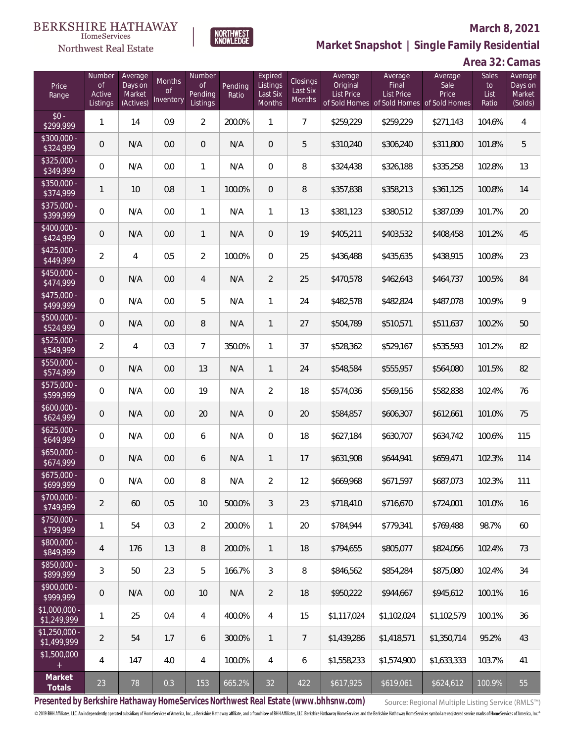

**NORTHWEST**<br>KNOWLEDGE

Northwest Real Estate

**Market Snapshot | Single Family Residential**

## **Area 32: Camas**

| Price<br>Range                | Number<br><b>of</b><br>Active<br>Listings | Average<br>Days on<br>Market<br>(Actives) | Months<br>0f<br>Inventory | Number<br>Οf<br>Pending<br>Listings | Pending<br>Ratio | Expired<br>Listings<br>Last Six<br>Months | Closings<br>Last Six<br>Months | Average<br>Original<br><b>List Price</b> | Average<br>Final<br>List Price<br>of Sold Homes of Sold Homes of Sold Homes | Average<br>Sale<br>Price | Sales<br>to<br>List<br>Ratio | Average<br>Days on<br>Market<br>(Solds) |
|-------------------------------|-------------------------------------------|-------------------------------------------|---------------------------|-------------------------------------|------------------|-------------------------------------------|--------------------------------|------------------------------------------|-----------------------------------------------------------------------------|--------------------------|------------------------------|-----------------------------------------|
| $$0 -$<br>$\sqrt{$299,999}$   | $\mathbf{1}$                              | 14                                        | 0.9                       | $\overline{2}$                      | 200.0%           | $\mathbf{1}$                              | $7^{\circ}$                    | \$259,229                                | \$259,229                                                                   | \$271,143                | 104.6%                       | $\overline{4}$                          |
| $$300,000 -$<br>\$324,999     | $\overline{0}$                            | N/A                                       | 0.0                       | $\overline{0}$                      | N/A              | $\overline{0}$                            | 5                              | \$310,240                                | \$306,240                                                                   | \$311,800                | 101.8%                       | 5                                       |
| $$325,000 -$<br>\$349,999     | $\overline{0}$                            | N/A                                       | 0.0                       | $\mathbf{1}$                        | N/A              | $\overline{0}$                            | 8                              | \$324,438                                | \$326,188                                                                   | \$335,258                | 102.8%                       | 13                                      |
| $$350,000 -$<br>\$374,999     | 1                                         | 10                                        | 0.8                       | $\mathbf{1}$                        | 100.0%           | $\overline{0}$                            | 8                              | \$357,838                                | \$358,213                                                                   | \$361,125                | 100.8%                       | 14                                      |
| $$375,000 -$<br>\$399,999     | 0                                         | N/A                                       | 0.0                       | $\mathbf{1}$                        | N/A              | $\mathbf{1}$                              | 13                             | \$381,123                                | \$380,512                                                                   | \$387,039                | 101.7%                       | 20                                      |
| $$400,000 -$<br>\$424,999     | $\overline{0}$                            | N/A                                       | 0.0                       | $\mathbf{1}$                        | N/A              | $\overline{0}$                            | 19                             | \$405,211                                | \$403,532                                                                   | \$408,458                | 101.2%                       | 45                                      |
| $$425,000 -$<br>\$449,999     | $\overline{2}$                            | $\overline{4}$                            | 0.5                       | $\overline{2}$                      | 100.0%           | $\Omega$                                  | 25                             | \$436,488                                | \$435,635                                                                   | \$438,915                | 100.8%                       | 23                                      |
| $$450,000 -$<br>\$474,999     | $\overline{0}$                            | N/A                                       | 0.0                       | 4                                   | N/A              | $\overline{2}$                            | 25                             | \$470,578                                | \$462,643                                                                   | \$464,737                | 100.5%                       | 84                                      |
| $$475,000 -$<br>\$499,999     | $\overline{0}$                            | N/A                                       | 0.0                       | 5                                   | N/A              | $\mathbf{1}$                              | 24                             | \$482,578                                | \$482,824                                                                   | \$487,078                | 100.9%                       | $\mathsf{Q}$                            |
| $$500,000 -$<br>\$524,999     | $\overline{0}$                            | N/A                                       | 0.0                       | 8                                   | N/A              | $\mathbf{1}$                              | 27                             | \$504,789                                | \$510,571                                                                   | \$511,637                | 100.2%                       | 50                                      |
| $$525,000 -$<br>\$549,999     | $\overline{2}$                            | $\overline{4}$                            | 0.3                       | $7\overline{ }$                     | 350.0%           | $\mathbf{1}$                              | 37                             | \$528,362                                | \$529,167                                                                   | \$535,593                | 101.2%                       | 82                                      |
| \$550,000 -<br>\$574,999      | $\overline{0}$                            | N/A                                       | 0.0                       | 13                                  | N/A              | $\mathbf{1}$                              | 24                             | \$548,584                                | \$555,957                                                                   | \$564,080                | 101.5%                       | 82                                      |
| \$575,000 -<br>\$599,999      | 0                                         | N/A                                       | 0.0                       | 19                                  | N/A              | $\overline{2}$                            | 18                             | \$574,036                                | \$569,156                                                                   | \$582,838                | 102.4%                       | 76                                      |
| $$600,000 -$<br>\$624,999     | $\overline{0}$                            | N/A                                       | 0.0                       | 20                                  | N/A              | $\overline{0}$                            | 20                             | \$584,857                                | \$606,307                                                                   | \$612,661                | 101.0%                       | 75                                      |
| $$625,000 -$<br>\$649,999     | 0                                         | N/A                                       | 0.0                       | 6                                   | N/A              | $\Omega$                                  | 18                             | \$627,184                                | \$630,707                                                                   | \$634,742                | 100.6%                       | 115                                     |
| $$650,000 -$<br>\$674,999     | $\boldsymbol{0}$                          | N/A                                       | 0.0                       | 6                                   | N/A              | $\mathbf{1}$                              | 17                             | \$631,908                                | \$644,941                                                                   | \$659,471                | 102.3%                       | 114                                     |
| $$675,000 -$<br>\$699,999     | 0                                         | N/A                                       | 0.0                       | 8                                   | N/A              | $\overline{2}$                            | 12                             | \$669,968                                | \$671,597                                                                   | \$687,073                | 102.3%                       | 111                                     |
| \$700,000 -<br>\$749,999      | $\overline{2}$                            | 60                                        | 0.5                       | 10                                  | 500.0%           | 3                                         | 23                             | \$718,410                                | \$716,670                                                                   | \$724,001                | 101.0%                       | 16                                      |
| $$750,000 -$<br>\$799,999     | $\mathbf{1}$                              | 54                                        | 0.3                       | $\overline{2}$                      | 200.0%           | $\mathbf{1}$                              | 20                             | \$784,944                                | \$779,341                                                                   | \$769,488                | 98.7%                        | 60                                      |
| $$800,000 -$<br>\$849,999     | $\overline{4}$                            | 176                                       | 1.3                       | 8                                   | 200.0%           | $\mathbf{1}$                              | 18                             | \$794,655                                | \$805,077                                                                   | \$824,056                | 102.4%                       | 73                                      |
| \$850,000 -<br>\$899,999      | 3                                         | 50                                        | 2.3                       | 5                                   | 166.7%           | 3                                         | 8                              | \$846,562                                | \$854,284                                                                   | \$875,080                | 102.4%                       | 34                                      |
| $$900,000 -$<br>\$999,999     | $\boldsymbol{0}$                          | N/A                                       | 0.0                       | 10                                  | N/A              | $\overline{2}$                            | 18                             | \$950,222                                | \$944,667                                                                   | \$945,612                | 100.1%                       | 16                                      |
| $$1,000,000$ -<br>\$1,249,999 | 1                                         | 25                                        | 0.4                       | $\overline{4}$                      | 400.0%           | $\overline{4}$                            | 15                             | \$1,117,024                              | \$1,102,024                                                                 | \$1,102,579              | 100.1%                       | 36                                      |
| $$1,250,000$ -<br>\$1,499,999 | $\overline{2}$                            | 54                                        | 1.7                       | 6                                   | 300.0%           | $\mathbf{1}$                              | $7\phantom{.}$                 | \$1,439,286                              | \$1,418,571                                                                 | \$1,350,714              | 95.2%                        | 43                                      |
| \$1,500,000<br>$+$            | 4                                         | 147                                       | 4.0                       | $\overline{4}$                      | 100.0%           | $\overline{4}$                            | 6                              | \$1,558,233                              | \$1,574,900                                                                 | \$1,633,333              | 103.7%                       | 41                                      |
| Market<br>Totals              | 23                                        | 78                                        | 0.3                       | 153                                 | 665.2%           | 32                                        | 422                            | \$617,925                                | \$619,061                                                                   | \$624, 612               | 100.9%                       | 55                                      |

**Presented by Berkshire Hathaway HomeServices Northwest Real Estate (www.bhhsnw.com)**

Source: Regional Multiple Listing Service (RMLS™)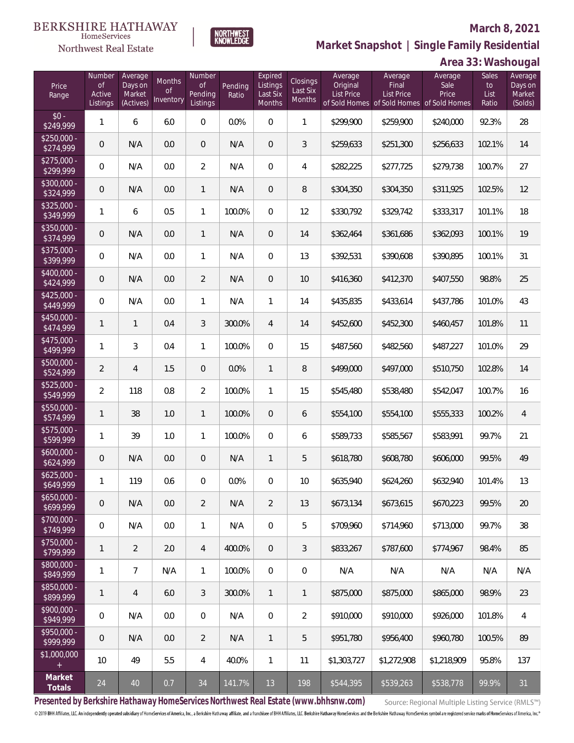

**Market Snapshot | Single Family Residential**

#### $\label{lem:sevices} \textsc{Home} \textsc{Service} \textsc{s}$ Northwest Real Estate

|                           | Area 33: Washougal                        |                                           |                                  |                                            |                  |                                           |                                       |                                          |                                                                                           |                          |                              |                                         |
|---------------------------|-------------------------------------------|-------------------------------------------|----------------------------------|--------------------------------------------|------------------|-------------------------------------------|---------------------------------------|------------------------------------------|-------------------------------------------------------------------------------------------|--------------------------|------------------------------|-----------------------------------------|
| Price<br>Range            | Number<br><b>of</b><br>Active<br>Listings | Average<br>Days on<br>Market<br>(Actives) | Months<br><b>of</b><br>Inventory | Number<br><b>of</b><br>Pending<br>Listings | Pending<br>Ratio | Expired<br>Listings<br>Last Six<br>Months | Closings<br>Last Six<br><b>Months</b> | Average<br>Original<br><b>List Price</b> | Average<br><b>Final</b><br><b>List Price</b><br>of Sold Homes of Sold Homes of Sold Homes | Average<br>Sale<br>Price | Sales<br>to<br>List<br>Ratio | Average<br>Days on<br>Market<br>(Solds) |
| $$0 -$<br>\$249,999       | 1                                         | 6                                         | 6.0                              | 0                                          | 0.0%             | $\overline{0}$                            | $\mathbf{1}$                          | \$299,900                                | \$259,900                                                                                 | \$240,000                | 92.3%                        | 28                                      |
| $$250,000 -$<br>\$274,999 | $\mathbf 0$                               | N/A                                       | 0.0                              | 0                                          | N/A              | $\overline{0}$                            | 3                                     | \$259,633                                | \$251,300                                                                                 | \$256,633                | 102.1%                       | 14                                      |
| $$275,000 -$<br>\$299,999 | 0                                         | N/A                                       | 0.0                              | $\overline{a}$                             | N/A              | $\overline{0}$                            | 4                                     | \$282,225                                | \$277,725                                                                                 | \$279,738                | 100.7%                       | 27                                      |
| $$300,000 -$<br>\$324,999 | $\mathbf 0$                               | N/A                                       | 0.0                              | $\mathbf{1}$                               | N/A              | $\overline{0}$                            | 8                                     | \$304,350                                | \$304,350                                                                                 | \$311,925                | 102.5%                       | 12                                      |
| $$325,000 -$<br>\$349,999 | 1                                         | 6                                         | 0.5                              | $\mathbf{1}$                               | 100.0%           | $\overline{0}$                            | 12                                    | \$330,792                                | \$329,742                                                                                 | \$333,317                | 101.1%                       | 18                                      |
| $$350,000 -$<br>\$374,999 | $\mathbf 0$                               | N/A                                       | 0.0                              | $\mathbf{1}$                               | N/A              | $\overline{0}$                            | 14                                    | \$362,464                                | \$361,686                                                                                 | \$362,093                | 100.1%                       | 19                                      |
| $$375,000 -$<br>\$399,999 | 0                                         | N/A                                       | 0.0                              | 1                                          | N/A              | $\overline{0}$                            | 13                                    | \$392,531                                | \$390,608                                                                                 | \$390,895                | 100.1%                       | 31                                      |
| $$400,000 -$<br>\$424,999 | $\mathsf{O}\xspace$                       | N/A                                       | 0.0                              | $\overline{2}$                             | N/A              | $\boldsymbol{0}$                          | 10                                    | \$416,360                                | \$412,370                                                                                 | \$407,550                | 98.8%                        | 25                                      |
| $$425,000 -$<br>\$449,999 | $\boldsymbol{0}$                          | N/A                                       | 0.0                              | $\mathbf{1}$                               | N/A              | $\mathbf{1}$                              | 14                                    | \$435,835                                | \$433,614                                                                                 | \$437,786                | 101.0%                       | 43                                      |
| $$450.000 -$<br>\$474,999 | $\mathbf{1}$                              | 1                                         | 0.4                              | 3                                          | 300.0%           | 4                                         | 14                                    | \$452,600                                | \$452,300                                                                                 | \$460,457                | 101.8%                       | 11                                      |
| $$475,000 -$<br>\$499,999 | 1                                         | 3                                         | 0.4                              | $\mathbf{1}$                               | 100.0%           | $\overline{0}$                            | 15                                    | \$487,560                                | \$482,560                                                                                 | \$487,227                | 101.0%                       | 29                                      |
| $$500,000 -$<br>\$524,999 | $\overline{2}$                            | $\overline{4}$                            | 1.5                              | 0                                          | 0.0%             | $\mathbf{1}$                              | $\, 8$                                | \$499,000                                | \$497,000                                                                                 | \$510,750                | 102.8%                       | 14                                      |
| \$525,000 -<br>\$549,999  | $\overline{2}$                            | 118                                       | 0.8                              | $\overline{2}$                             | 100.0%           | 1                                         | 15                                    | \$545,480                                | \$538,480                                                                                 | \$542,047                | 100.7%                       | 16                                      |
| \$550,000 -<br>\$574,999  | $\mathbf{1}$                              | 38                                        | 1.0                              | $\mathbf{1}$                               | 100.0%           | $\overline{0}$                            | 6                                     | \$554,100                                | \$554,100                                                                                 | \$555,333                | 100.2%                       | 4                                       |
| \$575,000 -<br>\$599,999  | 1                                         | 39                                        | 1.0                              | $\mathbf{1}$                               | 100.0%           | $\mathbf 0$                               | 6                                     | \$589,733                                | \$585,567                                                                                 | \$583,991                | 99.7%                        | 21                                      |
| $$600,000 -$<br>\$624,999 | $\mathbf 0$                               | N/A                                       | 0.0                              | 0                                          | N/A              | 1                                         | 5                                     | \$618,780                                | \$608,780                                                                                 | \$606,000                | 99.5%                        | 49                                      |
| $$625.000 -$<br>\$649,999 | 1                                         | 119                                       | 0.6                              | 0                                          | 0.0%             | $\overline{0}$                            | 10                                    | \$635,940                                | \$624,260                                                                                 | \$632,940                | 101.4%                       | 13                                      |
| $$650,000 -$<br>\$699,999 | $\mathbf 0$                               | N/A                                       | 0.0                              | 2                                          | N/A              | $\overline{2}$                            | 13                                    | \$673,134                                | \$673.615                                                                                 | \$670,223                | 99.5%                        | 20                                      |
| $$700,000 -$<br>\$749,999 | 0                                         | N/A                                       | 0.0                              | $\mathbf{1}$                               | N/A              | $\mathbf 0$                               | 5                                     | \$709,960                                | \$714,960                                                                                 | \$713,000                | 99.7%                        | 38                                      |
| \$750,000 -<br>\$799,999  | $\mathbf{1}$                              | $\overline{2}$                            | 2.0                              | $\overline{4}$                             | 400.0%           | $\overline{0}$                            | 3                                     | \$833,267                                | \$787,600                                                                                 | \$774,967                | 98.4%                        | 85                                      |
| \$800,000 -<br>\$849,999  | $\mathbf{1}$                              | $\overline{7}$                            | N/A                              | $\mathbf{1}$                               | 100.0%           | $\mathbf 0$                               | $\boldsymbol{0}$                      | N/A                                      | N/A                                                                                       | N/A                      | N/A                          | N/A                                     |
| \$850,000 -<br>\$899,999  | $\mathbf{1}$                              | $\overline{4}$                            | 6.0                              | 3                                          | 300.0%           | $\mathbf{1}$                              | $\mathbf{1}$                          | \$875,000                                | \$875,000                                                                                 | \$865,000                | 98.9%                        | 23                                      |
| \$900,000 -<br>\$949,999  | 0                                         | N/A                                       | 0.0                              | $\boldsymbol{0}$                           | N/A              | $\mathbf 0$                               | $\overline{2}$                        | \$910,000                                | \$910,000                                                                                 | \$926,000                | 101.8%                       | 4                                       |
| \$950,000 -<br>\$999,999  | $\mathbf 0$                               | N/A                                       | 0.0                              | $\overline{2}$                             | N/A              | $\mathbf{1}$                              | 5                                     | \$951,780                                | \$956,400                                                                                 | \$960,780                | 100.5%                       | 89                                      |
| \$1,000,000               | 10                                        | 49                                        | 5.5                              | 4                                          | 40.0%            | $\mathbf{1}$                              | 11                                    | \$1,303,727                              | \$1,272,908                                                                               | \$1,218,909              | 95.8%                        | 137                                     |
| Market<br>Totals          | 24                                        | 40                                        | 0.7                              | 34                                         | 141.7%           | 13                                        | 198                                   | \$544,395                                | \$539,263                                                                                 | \$538,778                | 99.9%                        | 31                                      |

**Presented by Berkshire Hathaway HomeServices Northwest Real Estate (www.bhhsnw.com)**

Source: Regional Multiple Listing Service (RMLS™)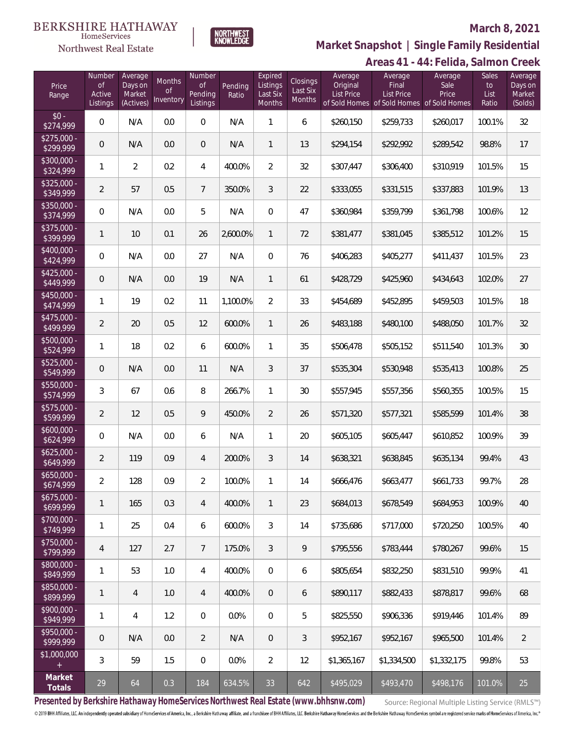

NORTHWEST<br>KNOWLEDGE

## **March 8, 2021**

**Areas 41 - 44: Felida, Salmon Creek Market Snapshot | Single Family Residential**

|                           |                                    |                                           |                           |                                     |                  |                                                  |                                       |                                          |                                                                             | TT 6 1<br>UTTUU, JUITTUI |                                     |                                         |
|---------------------------|------------------------------------|-------------------------------------------|---------------------------|-------------------------------------|------------------|--------------------------------------------------|---------------------------------------|------------------------------------------|-----------------------------------------------------------------------------|--------------------------|-------------------------------------|-----------------------------------------|
| Price<br>Range            | Number<br>of<br>Active<br>Listings | Average<br>Days on<br>Market<br>(Actives) | Months<br>Οf<br>Inventory | Number<br>0f<br>Pending<br>Listings | Pending<br>Ratio | Expired<br>Listings<br>Last Six<br><b>Months</b> | Closings<br>Last Six<br><b>Months</b> | Average<br>Original<br><b>List Price</b> | Average<br>Final<br>List Price<br>of Sold Homes of Sold Homes of Sold Homes | Average<br>Sale<br>Price | <b>Sales</b><br>to<br>List<br>Ratio | Average<br>Days on<br>Market<br>(Solds) |
| $$0 -$<br>\$274,999       | $\overline{0}$                     | N/A                                       | 0.0                       | $\mathbf 0$                         | N/A              | 1                                                | 6                                     | \$260,150                                | \$259,733                                                                   | \$260,017                | 100.1%                              | 32                                      |
| $$275,000 -$<br>\$299,999 | $\boldsymbol{0}$                   | N/A                                       | 0.0                       | $\mathbf 0$                         | N/A              | $\mathbf{1}$                                     | 13                                    | \$294,154                                | \$292,992                                                                   | \$289,542                | 98.8%                               | 17                                      |
| $$300,000 -$<br>\$324,999 | 1                                  | $\overline{2}$                            | 0.2                       | $\overline{4}$                      | 400.0%           | $\overline{2}$                                   | 32                                    | \$307,447                                | \$306,400                                                                   | \$310,919                | 101.5%                              | 15                                      |
| $$325,000 -$<br>\$349,999 | $\overline{2}$                     | 57                                        | 0.5                       | $\overline{7}$                      | 350.0%           | 3                                                | 22                                    | \$333,055                                | \$331,515                                                                   | \$337,883                | 101.9%                              | 13                                      |
| $$350,000 -$<br>\$374,999 | $\mathbf 0$                        | N/A                                       | 0.0                       | 5                                   | N/A              | $\boldsymbol{0}$                                 | 47                                    | \$360,984                                | \$359,799                                                                   | \$361,798                | 100.6%                              | 12                                      |
| $$375,000 -$<br>\$399,999 | 1                                  | 10                                        | 0.1                       | 26                                  | 2,600.0%         | $\mathbf{1}$                                     | 72                                    | \$381,477                                | \$381,045                                                                   | \$385,512                | 101.2%                              | 15                                      |
| $$400,000 -$<br>\$424,999 | $\mathbf 0$                        | N/A                                       | 0.0                       | 27                                  | N/A              | $\boldsymbol{0}$                                 | 76                                    | \$406,283                                | \$405,277                                                                   | \$411,437                | 101.5%                              | 23                                      |
| $$425,000 -$<br>\$449,999 | $\overline{0}$                     | N/A                                       | 0.0                       | 19                                  | N/A              | $\mathbf{1}$                                     | 61                                    | \$428,729                                | \$425,960                                                                   | \$434,643                | 102.0%                              | 27                                      |
| $$450,000 -$<br>\$474,999 | 1                                  | 19                                        | 0.2                       | 11                                  | 1,100.0%         | $\overline{2}$                                   | 33                                    | \$454,689                                | \$452,895                                                                   | \$459,503                | 101.5%                              | 18                                      |
| $$475,000 -$<br>\$499,999 | $\overline{2}$                     | 20                                        | 0.5                       | 12                                  | 600.0%           | $\mathbf{1}$                                     | 26                                    | \$483,188                                | \$480,100                                                                   | \$488,050                | 101.7%                              | 32                                      |
| $$500,000 -$<br>\$524,999 | 1                                  | 18                                        | 0.2                       | 6                                   | 600.0%           | $\mathbf{1}$                                     | 35                                    | \$506,478                                | \$505,152                                                                   | \$511,540                | 101.3%                              | 30                                      |
| $$525,000 -$<br>\$549,999 | $\overline{0}$                     | N/A                                       | 0.0                       | 11                                  | N/A              | 3                                                | 37                                    | \$535,304                                | \$530,948                                                                   | \$535,413                | 100.8%                              | 25                                      |
| $$550,000 -$<br>\$574,999 | 3                                  | 67                                        | 0.6                       | 8                                   | 266.7%           | $\mathbf{1}$                                     | 30                                    | \$557,945                                | \$557,356                                                                   | \$560,355                | 100.5%                              | 15                                      |
| $$575,000 -$<br>\$599,999 | $\overline{2}$                     | 12                                        | 0.5                       | 9                                   | 450.0%           | $\overline{2}$                                   | 26                                    | \$571,320                                | \$577,321                                                                   | \$585,599                | 101.4%                              | 38                                      |
| $$600,000 -$<br>\$624,999 | $\mathbf 0$                        | N/A                                       | 0.0                       | 6                                   | N/A              | $\mathbf{1}$                                     | 20                                    | \$605,105                                | \$605,447                                                                   | \$610,852                | 100.9%                              | 39                                      |
| $$625,000 -$<br>\$649,999 | $\overline{2}$                     | 119                                       | 0.9                       | $\overline{4}$                      | 200.0%           | 3                                                | 14                                    | \$638,321                                | \$638,845                                                                   | \$635,134                | 99.4%                               | 43                                      |
| $$650,000 -$<br>\$674,999 | $\overline{2}$                     | 128                                       | 0.9                       | $\sqrt{2}$                          | 100.0%           | 1                                                | 14                                    | \$666,476                                | \$663,477                                                                   | \$661,733                | 99.7%                               | 28                                      |
| $$675,000 -$<br>\$699,999 | 1                                  | 165                                       | 0.3                       | $\overline{4}$                      | 400.0%           | $\mathbf{1}$                                     | 23                                    | \$684,013                                | \$678,549                                                                   | \$684,953                | 100.9%                              | 40                                      |
| $$700,000 -$<br>\$749,999 | 1                                  | 25                                        | 0.4                       | 6                                   | 600.0%           | 3                                                | 14                                    | \$735,686                                | \$717,000                                                                   | \$720,250                | 100.5%                              | 40                                      |
| $$750,000 -$<br>\$799,999 | 4                                  | 127                                       | 2.7                       | $7\phantom{.}$                      | 175.0%           | 3                                                | 9                                     | \$795,556                                | \$783,444                                                                   | \$780,267                | 99.6%                               | 15                                      |
| \$800,000 -<br>\$849,999  | 1                                  | 53                                        | 1.0                       | $\overline{4}$                      | 400.0%           | $\mathbf 0$                                      | 6                                     | \$805,654                                | \$832,250                                                                   | \$831,510                | 99.9%                               | 41                                      |
| \$850,000 -<br>\$899,999  | 1                                  | $\overline{4}$                            | 1.0                       | $\overline{4}$                      | 400.0%           | $\boldsymbol{0}$                                 | 6                                     | \$890,117                                | \$882,433                                                                   | \$878,817                | 99.6%                               | 68                                      |
| $$900,000 -$<br>\$949,999 | 1                                  | $\overline{4}$                            | 1.2                       | $\overline{0}$                      | 0.0%             | $\overline{0}$                                   | 5                                     | \$825,550                                | \$906,336                                                                   | \$919,446                | 101.4%                              | 89                                      |
| \$950,000 -<br>\$999,999  | 0                                  | N/A                                       | 0.0                       | $\overline{2}$                      | N/A              | $\mathbf 0$                                      | 3                                     | \$952,167                                | \$952,167                                                                   | \$965,500                | 101.4%                              | $\overline{2}$                          |
| \$1,000,000<br>$\pm$      | 3                                  | 59                                        | 1.5                       | 0                                   | 0.0%             | $\overline{2}$                                   | 12                                    | \$1,365,167                              | \$1,334,500                                                                 | \$1,332,175              | 99.8%                               | 53                                      |
| Market<br>Totals          | 29                                 | 64                                        | 0.3                       | 184                                 | 634.5%           | 33                                               | 642                                   | \$495,029                                | \$493,470                                                                   | \$498,176                | 101.0%                              | 25                                      |

**Presented by Berkshire Hathaway HomeServices Northwest Real Estate (www.bhhsnw.com)**

Source: Regional Multiple Listing Service (RMLS™)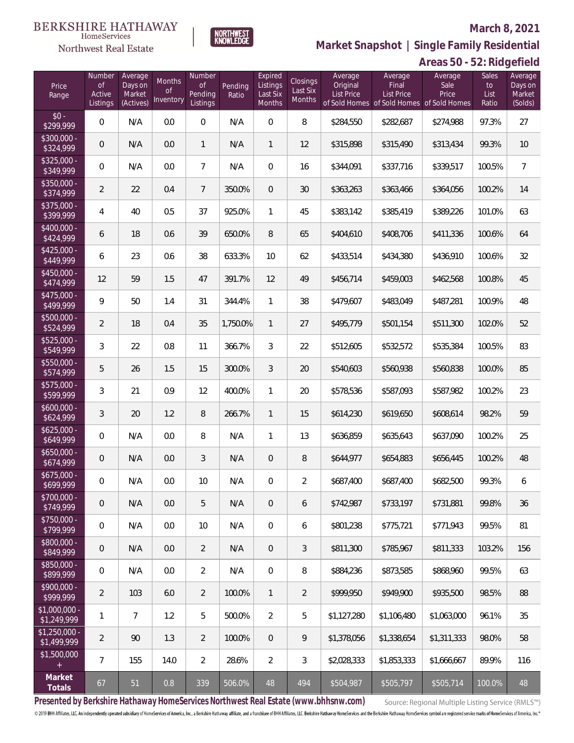

**Market Snapshot | Single Family Residential**

### $\label{lem:sevices} \textsc{Home} \textsc{Service} \textsc{s}$ Northwest Real Estate

|                               |                                           |                                           |                           |                                     |                  |                                           |                                |                                          |                                                                             | Areas 50 - 52: Ridgefield |                              |                                         |
|-------------------------------|-------------------------------------------|-------------------------------------------|---------------------------|-------------------------------------|------------------|-------------------------------------------|--------------------------------|------------------------------------------|-----------------------------------------------------------------------------|---------------------------|------------------------------|-----------------------------------------|
| Price<br>Range                | Number<br><b>of</b><br>Active<br>Listings | Average<br>Days on<br>Market<br>(Actives) | Months<br>0f<br>Inventory | Number<br>0f<br>Pending<br>Listings | Pending<br>Ratio | Expired<br>Listings<br>Last Six<br>Months | Closings<br>Last Six<br>Months | Average<br>Original<br><b>List Price</b> | Average<br>Final<br>List Price<br>of Sold Homes of Sold Homes of Sold Homes | Average<br>Sale<br>Price  | Sales<br>to<br>List<br>Ratio | Average<br>Days on<br>Market<br>(Solds) |
| $$0 -$<br>\$299,999           | $\mathbf 0$                               | N/A                                       | 0.0                       | $\mathbf 0$                         | N/A              | $\boldsymbol{0}$                          | 8                              | \$284,550                                | \$282,687                                                                   | \$274,988                 | 97.3%                        | 27                                      |
| \$300,000 -<br>\$324,999      | 0                                         | N/A                                       | 0.0                       | $\mathbf{1}$                        | N/A              | $\mathbf{1}$                              | 12                             | \$315,898                                | \$315,490                                                                   | \$313,434                 | 99.3%                        | 10                                      |
| $$325,000 -$<br>\$349,999     | $\mathbf 0$                               | N/A                                       | 0.0                       | $\overline{7}$                      | N/A              | $\overline{0}$                            | 16                             | \$344,091                                | \$337,716                                                                   | \$339,517                 | 100.5%                       | $\overline{7}$                          |
| $$350,000 -$<br>\$374,999     | $\overline{2}$                            | 22                                        | 0.4                       | $\overline{7}$                      | 350.0%           | $\overline{0}$                            | $30\,$                         | \$363,263                                | \$363,466                                                                   | \$364,056                 | 100.2%                       | 14                                      |
| $$375,000 -$<br>\$399,999     | 4                                         | 40                                        | 0.5                       | 37                                  | 925.0%           | $\mathbf{1}$                              | 45                             | \$383,142                                | \$385,419                                                                   | \$389,226                 | 101.0%                       | 63                                      |
| $$400,000 -$<br>\$424,999     | 6                                         | 18                                        | 0.6                       | 39                                  | 650.0%           | 8                                         | 65                             | \$404,610                                | \$408,706                                                                   | \$411,336                 | 100.6%                       | 64                                      |
| $$425,000 -$<br>\$449,999     | 6                                         | 23                                        | 0.6                       | 38                                  | 633.3%           | 10                                        | 62                             | \$433,514                                | \$434,380                                                                   | \$436,910                 | 100.6%                       | 32                                      |
| $$450,000 -$<br>\$474,999     | 12                                        | 59                                        | 1.5                       | 47                                  | 391.7%           | 12                                        | 49                             | \$456,714                                | \$459,003                                                                   | \$462,568                 | 100.8%                       | 45                                      |
| $$475,000 -$<br>\$499,999     | 9                                         | 50                                        | 1.4                       | 31                                  | 344.4%           | $\mathbf{1}$                              | 38                             | \$479,607                                | \$483,049                                                                   | \$487,281                 | 100.9%                       | 48                                      |
| $$500,000 -$<br>\$524,999     | $\overline{2}$                            | 18                                        | 0.4                       | 35                                  | 1,750.0%         | $\mathbf{1}$                              | 27                             | \$495,779                                | \$501,154                                                                   | \$511,300                 | 102.0%                       | 52                                      |
| $$525,000 -$<br>\$549,999     | 3                                         | 22                                        | 0.8                       | 11                                  | 366.7%           | 3                                         | 22                             | \$512,605                                | \$532,572                                                                   | \$535,384                 | 100.5%                       | 83                                      |
| $$550,000 -$<br>\$574,999     | 5                                         | 26                                        | 1.5                       | 15                                  | 300.0%           | 3                                         | 20                             | \$540,603                                | \$560,938                                                                   | \$560,838                 | 100.0%                       | 85                                      |
| $$575,000 -$<br>\$599,999     | 3                                         | 21                                        | 0.9                       | 12                                  | 400.0%           | 1                                         | 20                             | \$578,536                                | \$587,093                                                                   | \$587,982                 | 100.2%                       | 23                                      |
| $$600,000 -$<br>\$624,999     | 3                                         | 20                                        | 1.2                       | $\, 8$                              | 266.7%           | $\mathbf{1}$                              | 15                             | \$614,230                                | \$619,650                                                                   | \$608,614                 | 98.2%                        | 59                                      |
| $$625,000 -$<br>\$649,999     | 0                                         | N/A                                       | 0.0                       | $\, 8$                              | N/A              | 1                                         | 13                             | \$636,859                                | \$635,643                                                                   | \$637,090                 | 100.2%                       | 25                                      |
| $$650,000 -$<br>\$674,999     | 0                                         | N/A                                       | 0.0                       | 3                                   | N/A              | $\overline{0}$                            | 8                              | \$644,977                                | \$654,883                                                                   | \$656,445                 | 100.2%                       | 48                                      |
| \$675,000<br>\$699,999        | 0                                         | N/A                                       | 0.0                       | 10                                  | N/A              | $\mathbf{0}$                              | 2                              | \$687,400                                | \$687,400                                                                   | \$682,500                 | 99.3%                        | 6                                       |
| $$700,000 -$<br>\$749,999     | $\overline{0}$                            | N/A                                       | 0.0                       | 5                                   | N/A              | $\overline{0}$                            | 6                              | \$742,987                                | \$733,197                                                                   | \$731,881                 | 99.8%                        | 36                                      |
| $$750.000 -$<br>\$799,999     | 0                                         | N/A                                       | 0.0                       | 10                                  | N/A              | 0                                         | 6                              | \$801,238                                | \$775,721                                                                   | \$771,943                 | 99.5%                        | 81                                      |
| $$800.000 -$<br>\$849,999     | $\overline{0}$                            | N/A                                       | 0.0                       | $\overline{2}$                      | N/A              | $\overline{0}$                            | 3                              | \$811,300                                | \$785,967                                                                   | \$811,333                 | 103.2%                       | 156                                     |
| $$850.000 -$<br>\$899,999     | 0                                         | N/A                                       | 0.0                       | $\overline{2}$                      | N/A              | $\mathbf{0}$                              | 8                              | \$884,236                                | \$873,585                                                                   | \$868,960                 | 99.5%                        | 63                                      |
| $$900.000 -$<br>\$999,999     | 2                                         | 103                                       | 6.0                       | $\overline{2}$                      | 100.0%           | $\mathbf{1}$                              | $\overline{2}$                 | \$999,950                                | \$949,900                                                                   | \$935,500                 | 98.5%                        | 88                                      |
| $$1,000,000 -$<br>\$1,249,999 | 1                                         | 7                                         | 1.2                       | 5                                   | 500.0%           | 2                                         | 5                              | \$1,127,280                              | \$1,106,480                                                                 | \$1,063,000               | 96.1%                        | 35                                      |
| $$1,250,000 -$<br>\$1,499,999 | 2                                         | 90                                        | 1.3                       | $\overline{2}$                      | 100.0%           | $\overline{0}$                            | 9                              | \$1,378,056                              | \$1,338,654                                                                 | \$1,311,333               | 98.0%                        | 58                                      |
| \$1,500,000                   | 7                                         | 155                                       | 14.0                      | 2                                   | 28.6%            | 2                                         | 3                              | \$2,028,333                              | \$1,853,333                                                                 | \$1,666,667               | 89.9%                        | 116                                     |
| Market<br>Totals              | 67                                        | 51                                        | $0.8\,$                   | 339                                 | 506.0%           | 48                                        | 494                            | \$504,987                                | \$505,797                                                                   | \$505,714                 | $100.0\%$                    | 48                                      |

**Presented by Berkshire Hathaway HomeServices Northwest Real Estate (www.bhhsnw.com)**

Source: Regional Multiple Listing Service (RMLS™)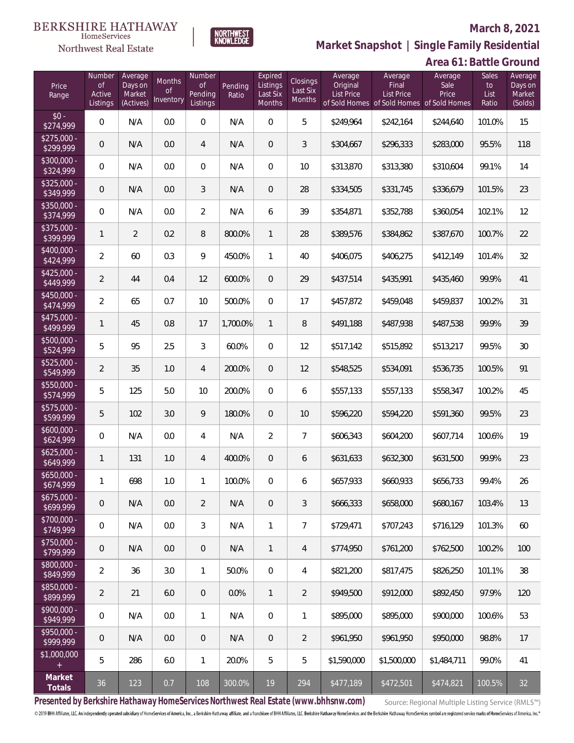

Northwest Real Estate

 $\label{lem:sevices} \textsc{Home} \textsc{Service} \textsc{s}$ 

**Market Snapshot | Single Family Residential**

## **Area 61: Battle Ground**

| Price<br>Range            | Number<br><b>of</b><br>Active<br>Listings | Average<br>Days on<br>Market<br>(Actives) | Months<br>0f<br>Inventory | Number<br><b>of</b><br>Pending<br>Listings | Pending<br>Ratio | Expired<br>Listings<br>Last Six<br><b>Months</b> | Closings<br>Last Six<br><b>Months</b> | Average<br>Original<br><b>List Price</b> | Average<br>Final<br><b>List Price</b><br>of Sold Homes of Sold Homes of Sold Homes | Average<br>Sale<br>Price | <b>Sales</b><br>to<br>List<br>Ratio | Average<br>Days on<br>Market<br>(Solds) |
|---------------------------|-------------------------------------------|-------------------------------------------|---------------------------|--------------------------------------------|------------------|--------------------------------------------------|---------------------------------------|------------------------------------------|------------------------------------------------------------------------------------|--------------------------|-------------------------------------|-----------------------------------------|
| $$0 -$<br>\$274,999       | $\overline{0}$                            | N/A                                       | 0.0                       | $\Omega$                                   | N/A              | $\Omega$                                         | 5                                     | \$249,964                                | \$242,164                                                                          | \$244,640                | 101.0%                              | 15                                      |
| $$275,000 -$<br>\$299,999 | 0                                         | N/A                                       | 0.0                       | $\overline{4}$                             | N/A              | $\overline{0}$                                   | 3                                     | \$304,667                                | \$296,333                                                                          | \$283,000                | 95.5%                               | 118                                     |
| $$300,000 -$<br>\$324,999 | $\overline{0}$                            | N/A                                       | 0.0                       | $\overline{0}$                             | N/A              | $\overline{0}$                                   | 10                                    | \$313,870                                | \$313,380                                                                          | \$310,604                | 99.1%                               | 14                                      |
| $$325,000 -$<br>\$349,999 | 0                                         | N/A                                       | 0.0                       | 3                                          | N/A              | $\overline{0}$                                   | 28                                    | \$334,505                                | \$331,745                                                                          | \$336,679                | 101.5%                              | 23                                      |
| $$350,000 -$<br>\$374,999 | $\overline{0}$                            | N/A                                       | 0.0                       | $\overline{2}$                             | N/A              | 6                                                | 39                                    | \$354,871                                | \$352,788                                                                          | \$360,054                | 102.1%                              | 12                                      |
| $$375,000 -$<br>\$399,999 | $\mathbf{1}$                              | $\overline{2}$                            | 0.2                       | 8                                          | 800.0%           | $\mathbf{1}$                                     | 28                                    | \$389,576                                | \$384,862                                                                          | \$387,670                | 100.7%                              | 22                                      |
| $$400,000 -$<br>\$424,999 | $\overline{2}$                            | 60                                        | 0.3                       | 9                                          | 450.0%           | $\mathbf{1}$                                     | 40                                    | \$406,075                                | \$406,275                                                                          | \$412,149                | 101.4%                              | 32                                      |
| $$425,000 -$<br>\$449,999 | $\overline{2}$                            | 44                                        | 0.4                       | 12                                         | 600.0%           | $\overline{0}$                                   | 29                                    | \$437,514                                | \$435,991                                                                          | \$435,460                | 99.9%                               | 41                                      |
| $$450,000 -$<br>\$474,999 | $\overline{2}$                            | 65                                        | 0.7                       | 10                                         | 500.0%           | $\mathbf{0}$                                     | 17                                    | \$457,872                                | \$459,048                                                                          | \$459,837                | 100.2%                              | 31                                      |
| $$475,000 -$<br>\$499,999 | 1                                         | 45                                        | 0.8                       | 17                                         | 1,700.0%         | $\mathbf{1}$                                     | 8                                     | \$491,188                                | \$487,938                                                                          | \$487,538                | 99.9%                               | 39                                      |
| $$500,000 -$<br>\$524,999 | 5                                         | 95                                        | 2.5                       | 3                                          | 60.0%            | $\overline{0}$                                   | 12                                    | \$517,142                                | \$515,892                                                                          | \$513,217                | 99.5%                               | 30                                      |
| $$525,000 -$<br>\$549,999 | $\overline{2}$                            | 35                                        | 1.0                       | $\overline{4}$                             | 200.0%           | $\overline{0}$                                   | 12                                    | \$548,525                                | \$534,091                                                                          | \$536,735                | 100.5%                              | 91                                      |
| $$550,000 -$<br>\$574,999 | 5                                         | 125                                       | 5.0                       | 10                                         | 200.0%           | $\overline{0}$                                   | 6                                     | \$557,133                                | \$557,133                                                                          | \$558,347                | 100.2%                              | 45                                      |
| \$575,000 -<br>\$599,999  | 5                                         | 102                                       | 3.0                       | 9                                          | 180.0%           | $\overline{0}$                                   | 10                                    | \$596,220                                | \$594,220                                                                          | \$591,360                | 99.5%                               | 23                                      |
| $$600,000 -$<br>\$624,999 | $\overline{0}$                            | N/A                                       | 0.0                       | $\overline{4}$                             | N/A              | $\overline{2}$                                   | $\overline{7}$                        | \$606,343                                | \$604,200                                                                          | \$607,714                | 100.6%                              | 19                                      |
| $$625,000 -$<br>\$649,999 | $\mathbf{1}$                              | 131                                       | 1.0                       | $\overline{4}$                             | 400.0%           | $\overline{0}$                                   | 6                                     | \$631,633                                | \$632,300                                                                          | \$631,500                | 99.9%                               | 23                                      |
| $$650,000 -$<br>\$674,999 | $\mathbf{1}$                              | 698                                       | 1.0                       | 1                                          | 100.0%           | $\mathbf{0}$                                     | 6                                     | \$657,933                                | \$660,933                                                                          | \$656,733                | 99.4%                               | 26                                      |
| $$675,000 -$<br>\$699,999 | $\mathbf 0$                               | N/A                                       | 0.0                       | $\overline{2}$                             | N/A              | $\overline{0}$                                   | 3                                     | \$666,333                                | \$658,000                                                                          | \$680,167                | 103.4%                              | 13                                      |
| \$700,000 -<br>\$749,999  | 0                                         | N/A                                       | 0.0                       | $\mathfrak{Z}$                             | N/A              | $\mathbf{1}$                                     | $\overline{7}$                        | \$729,471                                | \$707,243                                                                          | \$716,129                | 101.3%                              | 60                                      |
| \$750,000 -<br>\$799,999  | $\mathsf{O}\xspace$                       | N/A                                       | 0.0                       | $\theta$                                   | N/A              | $\mathbf{1}$                                     | 4                                     | \$774,950                                | \$761,200                                                                          | \$762,500                | 100.2%                              | 100                                     |
| \$800,000 -<br>\$849,999  | $\overline{2}$                            | 36                                        | 3.0                       | $\mathbf{1}$                               | 50.0%            | 0                                                | 4                                     | \$821,200                                | \$817,475                                                                          | \$826,250                | 101.1%                              | 38                                      |
| \$850,000 -<br>\$899,999  | $\overline{2}$                            | 21                                        | 6.0                       | $\overline{0}$                             | 0.0%             | $\mathbf{1}$                                     | $\overline{2}$                        | \$949,500                                | \$912,000                                                                          | \$892,450                | 97.9%                               | 120                                     |
| \$900,000 -<br>\$949,999  | 0                                         | N/A                                       | 0.0                       | $\mathbf{1}$                               | N/A              | 0                                                | 1                                     | \$895,000                                | \$895,000                                                                          | \$900,000                | 100.6%                              | 53                                      |
| \$950,000 -<br>\$999,999  | $\mathbf 0$                               | N/A                                       | 0.0                       | $\mathbf 0$                                | N/A              | $\overline{0}$                                   | $\overline{2}$                        | \$961,950                                | \$961,950                                                                          | \$950,000                | 98.8%                               | 17                                      |
| \$1,000,000<br>$^{+}$     | 5                                         | 286                                       | 6.0                       | $\mathbf{1}$                               | 20.0%            | 5                                                | 5                                     | \$1,590,000                              | \$1,500,000                                                                        | \$1,484,711              | 99.0%                               | 41                                      |
| Market<br>Totals          | 36                                        | 123                                       | 0.7                       | 108                                        | $300.0\%$        | 19                                               | 294                                   | \$477,189                                | \$472,501                                                                          | \$474,821                | 100.5%                              | 32                                      |

**Presented by Berkshire Hathaway HomeServices Northwest Real Estate (www.bhhsnw.com)**

Source: Regional Multiple Listing Service (RMLS™)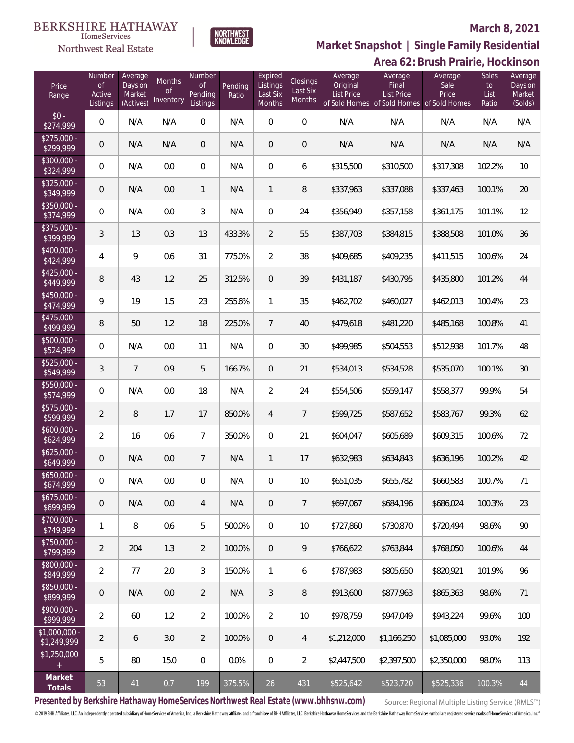Northwest Real Estate

# NORTHWEST<br>KNOWLEDGE

## **March 8, 2021**

**Market Snapshot | Single Family Residential**

|                               | Area 62: Brush Prairie, Hockinson         |                                           |                           |                                                |                  |                                           |                                       |                                   |                                                                             |                          |                              |                                         |
|-------------------------------|-------------------------------------------|-------------------------------------------|---------------------------|------------------------------------------------|------------------|-------------------------------------------|---------------------------------------|-----------------------------------|-----------------------------------------------------------------------------|--------------------------|------------------------------|-----------------------------------------|
| Price<br>Range                | Number<br><b>of</b><br>Active<br>Listings | Average<br>Days on<br>Market<br>(Actives) | Months<br>of<br>Inventory | Number<br>$\mathsf{of}$<br>Pending<br>Listings | Pending<br>Ratio | Expired<br>Listings<br>Last Six<br>Months | <b>Closings</b><br>Last Six<br>Months | Average<br>Original<br>List Price | Average<br>Final<br>List Price<br>of Sold Homes of Sold Homes of Sold Homes | Average<br>Sale<br>Price | Sales<br>to<br>List<br>Ratio | Average<br>Days on<br>Market<br>(Solds) |
| $$0 -$<br>\$274,999           | $\mathbf 0$                               | N/A                                       | N/A                       | $\boldsymbol{0}$                               | N/A              | $\mathbf 0$                               | $\mathbf 0$                           | N/A                               | N/A                                                                         | N/A                      | N/A                          | N/A                                     |
| \$275,000 -<br>\$299,999      | $\theta$                                  | N/A                                       | N/A                       | $\overline{0}$                                 | N/A              | $\mathbf 0$                               | $\,0\,$                               | N/A                               | N/A                                                                         | N/A                      | N/A                          | N/A                                     |
| \$300,000 -<br>\$324,999      | $\mathbf 0$                               | N/A                                       | 0.0                       | $\,0\,$                                        | N/A              | $\mathbf 0$                               | 6                                     | \$315,500                         | \$310,500                                                                   | \$317,308                | 102.2%                       | 10                                      |
| \$325,000 -<br>\$349,999      | $\mathbf 0$                               | N/A                                       | 0.0                       | $\mathbf{1}$                                   | N/A              | $\mathbf{1}$                              | $\, 8$                                | \$337,963                         | \$337,088                                                                   | \$337,463                | 100.1%                       | $20\,$                                  |
| \$350,000 -<br>\$374,999      | $\mathbf 0$                               | N/A                                       | 0.0                       | 3                                              | N/A              | $\mathbf 0$                               | 24                                    | \$356,949                         | \$357,158                                                                   | \$361,175                | 101.1%                       | 12                                      |
| \$375,000 -<br>\$399,999      | $\mathfrak{Z}$                            | 13                                        | 0.3                       | 13                                             | 433.3%           | $\overline{2}$                            | 55                                    | \$387,703                         | \$384,815                                                                   | \$388,508                | 101.0%                       | 36                                      |
| \$400,000 -<br>\$424,999      | $\overline{4}$                            | 9                                         | 0.6                       | 31                                             | 775.0%           | $\overline{2}$                            | 38                                    | \$409,685                         | \$409,235                                                                   | \$411,515                | 100.6%                       | 24                                      |
| $$425,000 -$<br>\$449,999     | 8                                         | 43                                        | 1.2                       | 25                                             | 312.5%           | $\mathbf 0$                               | 39                                    | \$431,187                         | \$430,795                                                                   | \$435,800                | 101.2%                       | 44                                      |
| \$450,000 -<br>\$474,999      | 9                                         | 19                                        | 1.5                       | 23                                             | 255.6%           | 1                                         | 35                                    | \$462,702                         | \$460,027                                                                   | \$462,013                | 100.4%                       | 23                                      |
| $$475,000 -$<br>\$499,999     | 8                                         | 50                                        | 1.2                       | 18                                             | 225.0%           | $7\overline{ }$                           | 40                                    | \$479,618                         | \$481,220                                                                   | \$485,168                | 100.8%                       | 41                                      |
| \$500,000 -<br>\$524,999      | $\mathbf 0$                               | N/A                                       | 0.0                       | 11                                             | N/A              | $\mathbf 0$                               | 30                                    | \$499,985                         | \$504,553                                                                   | \$512,938                | 101.7%                       | 48                                      |
| \$525,000 -<br>\$549,999      | $\mathfrak{Z}$                            | $\overline{7}$                            | 0.9                       | 5                                              | 166.7%           | $\mathbf 0$                               | 21                                    | \$534,013                         | \$534,528                                                                   | \$535,070                | 100.1%                       | 30                                      |
| \$550,000 -<br>\$574,999      | $\mathbf 0$                               | N/A                                       | 0.0                       | 18                                             | N/A              | $\overline{2}$                            | 24                                    | \$554,506                         | \$559,147                                                                   | \$558,377                | 99.9%                        | 54                                      |
| \$575,000 -<br>\$599,999      | $\overline{2}$                            | $\, 8$                                    | 1.7                       | 17                                             | 850.0%           | $\overline{4}$                            | $\overline{7}$                        | \$599,725                         | \$587,652                                                                   | \$583,767                | 99.3%                        | 62                                      |
| $$600,000 -$<br>\$624,999     | $\overline{2}$                            | 16                                        | 0.6                       | $\overline{7}$                                 | 350.0%           | $\mathbf 0$                               | 21                                    | \$604,047                         | \$605,689                                                                   | \$609,315                | 100.6%                       | 72                                      |
| $$625,000 -$<br>\$649,999     | 0                                         | N/A                                       | 0.0                       | $\overline{7}$                                 | N/A              | 1                                         | 17                                    | \$632,983                         | \$634,843                                                                   | \$636,196                | 100.2%                       | 42                                      |
| \$650,000<br>\$674,999        | $\overline{0}$                            | N/A                                       | 0.0                       | $\mathbf{0}$                                   | N/A              | $\overline{0}$                            | 10                                    | \$651,035                         | \$655,782                                                                   | \$660,583                | 100.7%                       | 71                                      |
| $$675,000 -$<br>\$699,999     | $\mathbf 0$                               | N/A                                       | 0.0                       | 4                                              | N/A              | $\overline{0}$                            | $\overline{7}$                        | \$697,067                         | \$684,196                                                                   | \$686.024                | 100.3%                       | 23                                      |
| $$700,000 -$<br>\$749,999     | $\mathbf{1}$                              | 8                                         | 0.6                       | 5                                              | 500.0%           | $\overline{0}$                            | 10                                    | \$727,860                         | \$730,870                                                                   | \$720,494                | 98.6%                        | 90                                      |
| $$750,000 -$<br>\$799,999     | $\overline{2}$                            | 204                                       | 1.3                       | $\overline{2}$                                 | 100.0%           | $\mathbf{0}$                              | $\,9$                                 | \$766,622                         | \$763.844                                                                   | \$768,050                | 100.6%                       | 44                                      |
| \$800,000 -<br>\$849,999      | $\overline{2}$                            | 77                                        | 2.0                       | $\mathfrak{Z}$                                 | 150.0%           | $\mathbf{1}$                              | 6                                     | \$787,983                         | \$805,650                                                                   | \$820,921                | 101.9%                       | 96                                      |
| \$850,000 -<br>\$899,999      | 0                                         | N/A                                       | 0.0                       | $\overline{2}$                                 | N/A              | $\mathfrak{Z}$                            | $\, 8$                                | \$913,600                         | \$877,963                                                                   | \$865,363                | 98.6%                        | 71                                      |
| \$900,000 -<br>\$999,999      | $\overline{2}$                            | 60                                        | 1.2                       | $\overline{2}$                                 | 100.0%           | $\overline{2}$                            | 10                                    | \$978,759                         | \$947,049                                                                   | \$943,224                | 99.6%                        | 100                                     |
| $$1,000,000 -$<br>\$1,249,999 | $\overline{2}$                            | 6                                         | 3.0                       | $\overline{2}$                                 | 100.0%           | $\overline{0}$                            | $\overline{4}$                        | \$1,212,000                       | \$1,166,250                                                                 | \$1,085,000              | 93.0%                        | 192                                     |
| \$1,250,000<br>$+$            | 5                                         | 80                                        | 15.0                      | $\overline{0}$                                 | 0.0%             | $\mathbf 0$                               | $\overline{2}$                        | \$2,447,500                       | \$2,397,500                                                                 | \$2,350,000              | 98.0%                        | 113                                     |
| Market<br>Totals              | 53                                        | 41                                        | 0.7                       | 199                                            | 375.5%           | 26                                        | 431                                   | \$525,642                         | \$523,720                                                                   | \$525,336                | 100.3%                       | 44                                      |

**Presented by Berkshire Hathaway HomeServices Northwest Real Estate (www.bhhsnw.com)**

Source: Regional Multiple Listing Service (RMLS™)